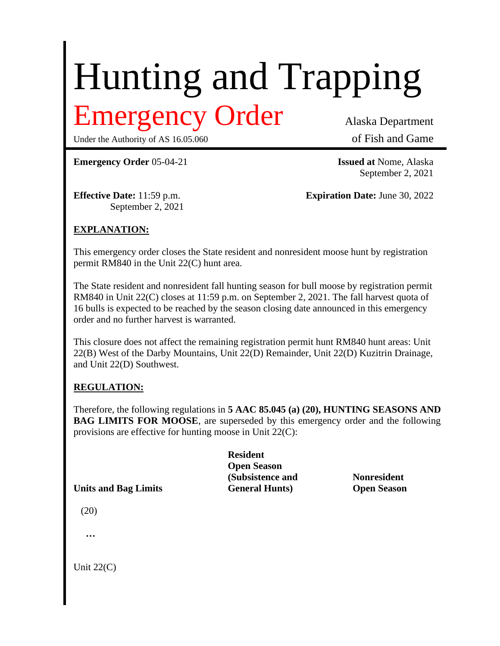# Hunting and Trapping

# Emergency Order Alaska Department

Under the Authority of AS 16.05.060 of Fish and Game

September 2, 2021

**Emergency Order** 05-04-21 **Issued at** Nome, Alaska

September 2, 2021

**Effective Date:** 11:59 p.m. **Expiration Date:** June 30, 2022

## **EXPLANATION:**

This emergency order closes the State resident and nonresident moose hunt by registration permit RM840 in the Unit 22(C) hunt area.

The State resident and nonresident fall hunting season for bull moose by registration permit RM840 in Unit 22(C) closes at 11:59 p.m. on September 2, 2021. The fall harvest quota of 16 bulls is expected to be reached by the season closing date announced in this emergency order and no further harvest is warranted.

This closure does not affect the remaining registration permit hunt RM840 hunt areas: Unit 22(B) West of the Darby Mountains, Unit 22(D) Remainder, Unit 22(D) Kuzitrin Drainage, and Unit 22(D) Southwest.

#### **REGULATION:**

Therefore, the following regulations in **5 AAC 85.045 (a) (20), HUNTING SEASONS AND BAG LIMITS FOR MOOSE**, are superseded by this emergency order and the following provisions are effective for hunting moose in Unit 22(C):

|                             | <b>Resident</b>        |                    |
|-----------------------------|------------------------|--------------------|
|                             | <b>Open Season</b>     |                    |
|                             | (Subsistence and       | <b>Nonresident</b> |
| <b>Units and Bag Limits</b> | <b>General Hunts</b> ) | <b>Open Season</b> |

(20)

**…**

Unit 22(C)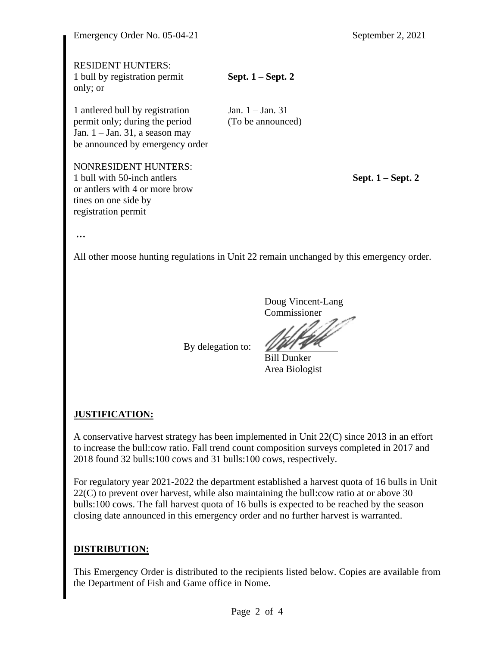| Emergency Order No. 05-04-21                                                                                                                |                                         | September 2, 2021   |
|---------------------------------------------------------------------------------------------------------------------------------------------|-----------------------------------------|---------------------|
| <b>RESIDENT HUNTERS:</b><br>1 bull by registration permit<br>only; or                                                                       | Sept. $1 -$ Sept. 2                     |                     |
| 1 antered bull by registration<br>permit only; during the period<br>Jan. $1 -$ Jan. 31, a season may<br>be announced by emergency order     | Jan. $1 -$ Jan. 31<br>(To be announced) |                     |
| <b>NONRESIDENT HUNTERS:</b><br>1 bull with 50-inch antlers<br>or antlers with 4 or more brow<br>tines on one side by<br>registration permit |                                         | Sept. $1 -$ Sept. 2 |
| $\ddotsc$                                                                                                                                   |                                         |                     |
| All other moose hunting regulations in Unit 22 remain unchanged by this emergency order.                                                    |                                         |                     |

Doug Vincent-Lang Commissioner

Bill Dunker Area Biologist

#### **JUSTIFICATION:**

A conservative harvest strategy has been implemented in Unit 22(C) since 2013 in an effort to increase the bull:cow ratio. Fall trend count composition surveys completed in 2017 and 2018 found 32 bulls:100 cows and 31 bulls:100 cows, respectively.

By delegation to:

For regulatory year 2021-2022 the department established a harvest quota of 16 bulls in Unit 22(C) to prevent over harvest, while also maintaining the bull:cow ratio at or above 30 bulls:100 cows. The fall harvest quota of 16 bulls is expected to be reached by the season closing date announced in this emergency order and no further harvest is warranted.

## **DISTRIBUTION:**

This Emergency Order is distributed to the recipients listed below. Copies are available from the Department of Fish and Game office in Nome.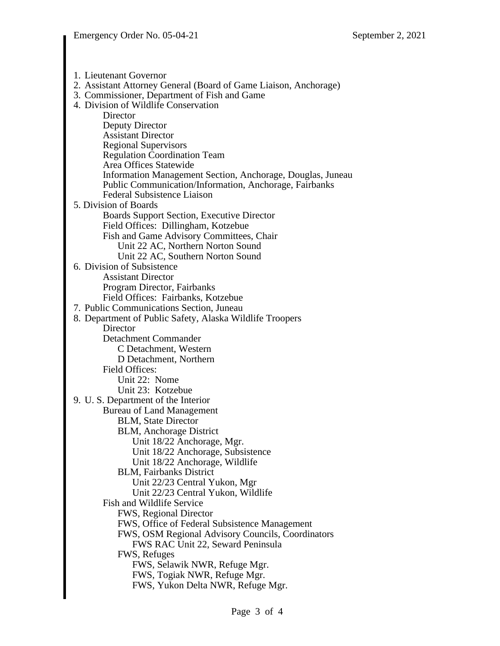1. Lieutenant Governor 2. Assistant Attorney General (Board of Game Liaison, Anchorage) 3. Commissioner, Department of Fish and Game 4. Division of Wildlife Conservation **Director** Deputy Director Assistant Director Regional Supervisors Regulation Coordination Team Area Offices Statewide Information Management Section, Anchorage, Douglas, Juneau Public Communication/Information, Anchorage, Fairbanks Federal Subsistence Liaison 5. Division of Boards Boards Support Section, Executive Director Field Offices: Dillingham, Kotzebue Fish and Game Advisory Committees, Chair Unit 22 AC, Northern Norton Sound Unit 22 AC, Southern Norton Sound 6. Division of Subsistence Assistant Director Program Director, Fairbanks Field Offices: Fairbanks, Kotzebue 7. Public Communications Section, Juneau 8. Department of Public Safety, Alaska Wildlife Troopers **Director** Detachment Commander C Detachment, Western D Detachment, Northern Field Offices: Unit 22: Nome Unit 23: Kotzebue 9. U. S. Department of the Interior Bureau of Land Management BLM, State Director BLM, Anchorage District Unit 18/22 Anchorage, Mgr. Unit 18/22 Anchorage, Subsistence Unit 18/22 Anchorage, Wildlife BLM, Fairbanks District Unit 22/23 Central Yukon, Mgr Unit 22/23 Central Yukon, Wildlife Fish and Wildlife Service FWS, Regional Director FWS, Office of Federal Subsistence Management FWS, OSM Regional Advisory Councils, Coordinators FWS RAC Unit 22, Seward Peninsula FWS, Refuges FWS, Selawik NWR, Refuge Mgr. FWS, Togiak NWR, Refuge Mgr. FWS, Yukon Delta NWR, Refuge Mgr.